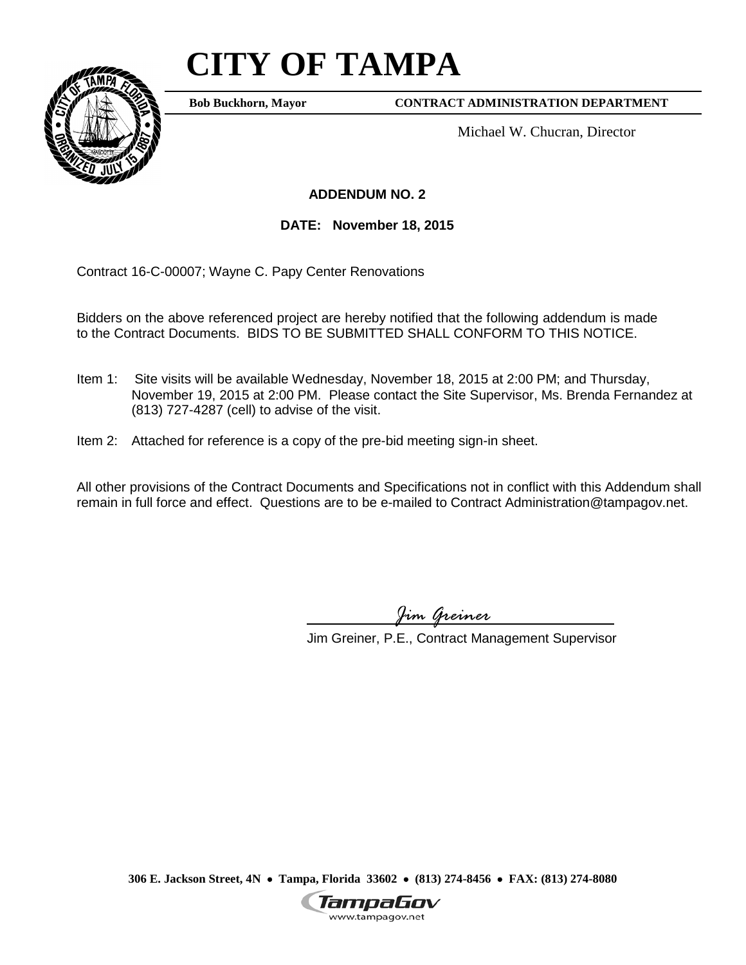## **CITY OF TAMPA**



**Bob Buckhorn, Mayor**

**CONTRACT ADMINISTRATION DEPARTMENT**

Michael W. Chucran, Director

## **ADDENDUM NO. 2**

**DATE: November 18, 2015**

Contract 16-C-00007; Wayne C. Papy Center Renovations

Bidders on the above referenced project are hereby notified that the following addendum is made to the Contract Documents. BIDS TO BE SUBMITTED SHALL CONFORM TO THIS NOTICE.

- Item 1: Site visits will be available Wednesday, November 18, 2015 at 2:00 PM; and Thursday, November 19, 2015 at 2:00 PM. Please contact the Site Supervisor, Ms. Brenda Fernandez at (813) 727-4287 (cell) to advise of the visit.
- Item 2: Attached for reference is a copy of the pre-bid meeting sign-in sheet.

All other provisions of the Contract Documents and Specifications not in conflict with this Addendum shall remain in full force and effect. Questions are to be e-mailed to Contract Administration@tampagov.net.

*Jim Greiner*

Jim Greiner, P.E., Contract Management Supervisor

**306 E. Jackson Street, 4N** • **Tampa, Florida 33602** • **(813) 274-8456** • **FAX: (813) 274-8080**